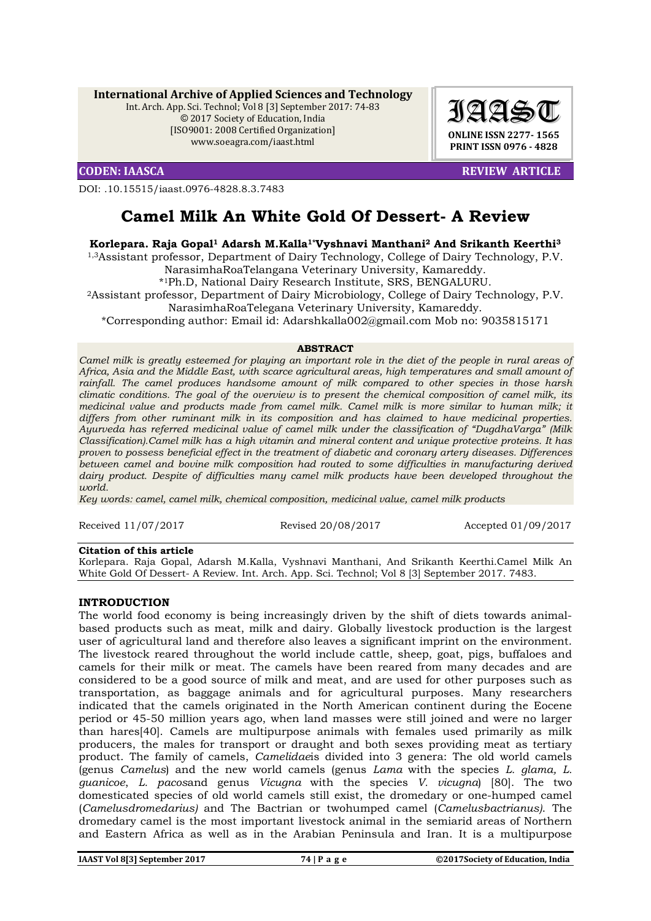**International Archive of Applied Sciences and Technology**

Int. Arch. App. Sci. Technol; Vol 8 [3] September 2017: 74-83 © 2017 Society of Education, India [ISO9001: 2008 Certified Organization] www.soeagra.com/iaast.html

DOI: .10.15515/iaast.0976-4828.8.3.7483



**CODEN: IAASCA REVIEW ARTICLE** 

# **Camel Milk An White Gold Of Dessert- A Review**

# **Korlepara. Raja Gopal1 Adarsh M.Kalla1\*Vyshnavi Manthani2 And Srikanth Keerthi3**

1,3Assistant professor, Department of Dairy Technology, College of Dairy Technology, P.V. NarasimhaRoaTelangana Veterinary University, Kamareddy.

\*1Ph.D, National Dairy Research Institute, SRS, BENGALURU.

2Assistant professor, Department of Dairy Microbiology, College of Dairy Technology, P.V. NarasimhaRoaTelegana Veterinary University, Kamareddy.

\*Corresponding author: Email id: Adarshkalla002@gmail.com Mob no: 9035815171

#### **ABSTRACT**

*Camel milk is greatly esteemed for playing an important role in the diet of the people in rural areas of Africa, Asia and the Middle East, with scarce agricultural areas, high temperatures and small amount of rainfall. The camel produces handsome amount of milk compared to other species in those harsh climatic conditions. The goal of the overview is to present the chemical composition of camel milk, its medicinal value and products made from camel milk. Camel milk is more similar to human milk; it differs from other ruminant milk in its composition and has claimed to have medicinal properties. Ayurveda has referred medicinal value of camel milk under the classification of "DugdhaVarga" (Milk Classification).Camel milk has a high vitamin and mineral content and unique protective proteins. It has proven to possess beneficial effect in the treatment of diabetic and coronary artery diseases. Differences between camel and bovine milk composition had routed to some difficulties in manufacturing derived dairy product. Despite of difficulties many camel milk products have been developed throughout the world.*

*Key words: camel, camel milk, chemical composition, medicinal value, camel milk products*

Received 11/07/2017 Revised 20/08/2017 Accepted 01/09/2017

#### **Citation of this article**

Korlepara. Raja Gopal, Adarsh M.Kalla, Vyshnavi Manthani, And Srikanth Keerthi.Camel Milk An White Gold Of Dessert- A Review. Int. Arch. App. Sci. Technol; Vol 8 [3] September 2017. 7483.

# **INTRODUCTION**

The world food economy is being increasingly driven by the shift of diets towards animalbased products such as meat, milk and dairy. Globally livestock production is the largest user of agricultural land and therefore also leaves a significant imprint on the environment. The livestock reared throughout the world include cattle, sheep, goat, pigs, buffaloes and camels for their milk or meat. The camels have been reared from many decades and are considered to be a good source of milk and meat, and are used for other purposes such as transportation, as baggage animals and for agricultural purposes. Many researchers indicated that the camels originated in the North American continent during the Eocene period or 45-50 million years ago, when land masses were still joined and were no larger than hares[40]. Camels are multipurpose animals with females used primarily as milk producers, the males for transport or draught and both sexes providing meat as tertiary product. The family of camels, *Camelidae*is divided into 3 genera: The old world camels (genus *Camelus*) and the new world camels (genus *Lama* with the species *L. glama, L. guanicoe*, *L. pacos*and genus *Vicugna* with the species *V. vicugna*) [80]. The two domesticated species of old world camels still exist, the dromedary or one-humped camel (*Camelusdromedarius)* and The Bactrian or twohumped camel (*Camelusbactrianus)*. The dromedary camel is the most important livestock animal in the semiarid areas of Northern and Eastern Africa as well as in the Arabian Peninsula and Iran. It is a multipurpose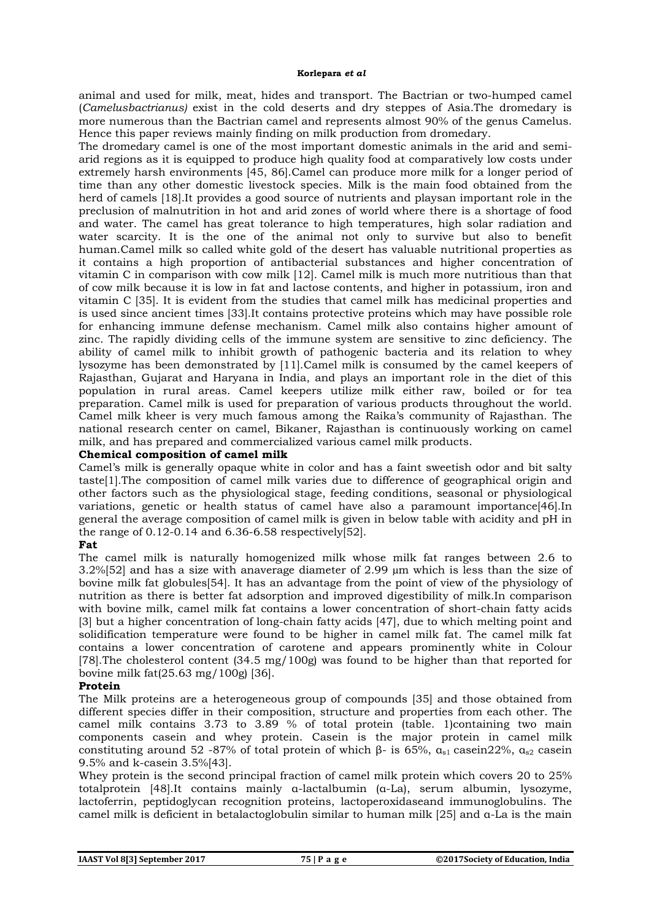animal and used for milk, meat, hides and transport. The Bactrian or two-humped camel (*Camelusbactrianus)* exist in the cold deserts and dry steppes of Asia.The dromedary is more numerous than the Bactrian camel and represents almost 90% of the genus Camelus. Hence this paper reviews mainly finding on milk production from dromedary.

The dromedary camel is one of the most important domestic animals in the arid and semiarid regions as it is equipped to produce high quality food at comparatively low costs under extremely harsh environments [45, 86].Camel can produce more milk for a longer period of time than any other domestic livestock species. Milk is the main food obtained from the herd of camels [18].It provides a good source of nutrients and playsan important role in the preclusion of malnutrition in hot and arid zones of world where there is a shortage of food and water. The camel has great tolerance to high temperatures, high solar radiation and water scarcity. It is the one of the animal not only to survive but also to benefit human.Camel milk so called white gold of the desert has valuable nutritional properties as it contains a high proportion of antibacterial substances and higher concentration of vitamin C in comparison with cow milk [12]. Camel milk is much more nutritious than that of cow milk because it is low in fat and lactose contents, and higher in potassium, iron and vitamin C [35]. It is evident from the studies that camel milk has medicinal properties and is used since ancient times [33].It contains protective proteins which may have possible role for enhancing immune defense mechanism. Camel milk also contains higher amount of zinc. The rapidly dividing cells of the immune system are sensitive to zinc deficiency. The ability of camel milk to inhibit growth of pathogenic bacteria and its relation to whey lysozyme has been demonstrated by [11].Camel milk is consumed by the camel keepers of Rajasthan, Gujarat and Haryana in India, and plays an important role in the diet of this population in rural areas. Camel keepers utilize milk either raw, boiled or for tea preparation. Camel milk is used for preparation of various products throughout the world. Camel milk kheer is very much famous among the Raika's community of Rajasthan. The national research center on camel, Bikaner, Rajasthan is continuously working on camel milk, and has prepared and commercialized various camel milk products.

### **Chemical composition of camel milk**

Camel's milk is generally opaque white in color and has a faint sweetish odor and bit salty taste[1].The composition of camel milk varies due to difference of geographical origin and other factors such as the physiological stage, feeding conditions, seasonal or physiological variations, genetic or health status of camel have also a paramount importance[46].In general the average composition of camel milk is given in below table with acidity and pH in the range of 0.12-0.14 and 6.36-6.58 respectively[52].

# **Fat**

The camel milk is naturally homogenized milk whose milk fat ranges between 2.6 to 3.2%[52] and has a size with anaverage diameter of 2.99 µm which is less than the size of bovine milk fat globules[54]. It has an advantage from the point of view of the physiology of nutrition as there is better fat adsorption and improved digestibility of milk.In comparison with bovine milk, camel milk fat contains a lower concentration of short-chain fatty acids [3] but a higher concentration of long-chain fatty acids [47], due to which melting point and solidification temperature were found to be higher in camel milk fat. The camel milk fat contains a lower concentration of carotene and appears prominently white in Colour [78].The cholesterol content (34.5 mg/100g) was found to be higher than that reported for bovine milk fat(25.63 mg/100g) [36].

# **Protein**

The Milk proteins are a heterogeneous group of compounds [35] and those obtained from different species differ in their composition, structure and properties from each other. The camel milk contains 3.73 to 3.89 % of total protein (table. 1)containing two main components casein and whey protein. Casein is the major protein in camel milk constituting around 52 -87% of total protein of which β- is 65%,  $\alpha_{s1}$  casein22%,  $\alpha_{s2}$  casein 9.5% and k-casein 3.5%[43].

Whey protein is the second principal fraction of camel milk protein which covers 20 to 25% totalprotein [48].It contains mainly α-lactalbumin (α-La), serum albumin, lysozyme, lactoferrin, peptidoglycan recognition proteins, lactoperoxidaseand immunoglobulins. The camel milk is deficient in betalactoglobulin similar to human milk [25] and α-La is the main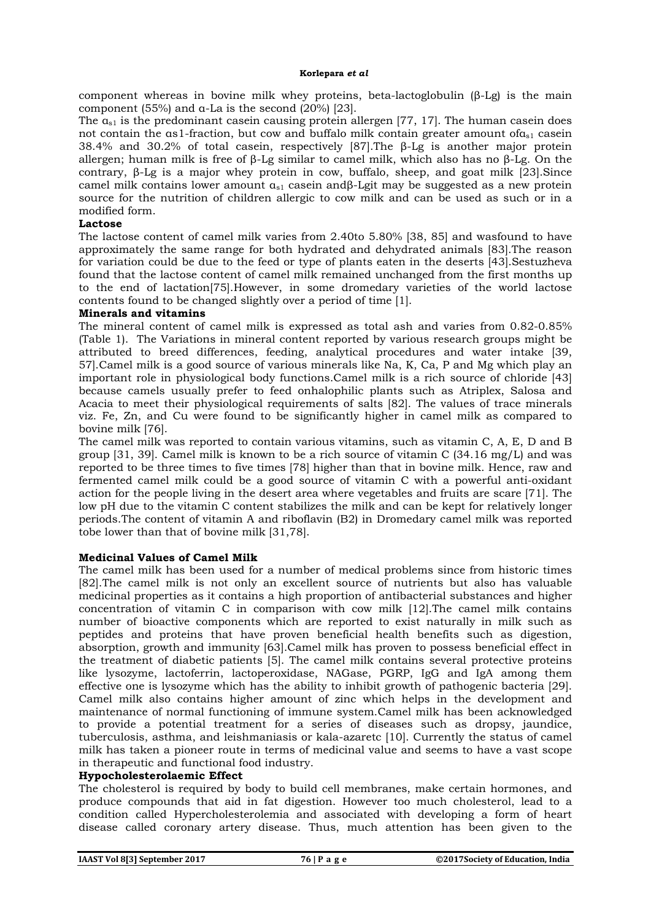component whereas in bovine milk whey proteins, beta-lactoglobulin (β-Lg) is the main component (55%) and α-La is the second (20%) [23].

The  $a_{s1}$  is the predominant casein causing protein allergen [77, 17]. The human casein does not contain the as1-fraction, but cow and buffalo milk contain greater amount of $a_{s1}$  casein 38.4% and 30.2% of total casein, respectively [87].The β-Lg is another major protein allergen; human milk is free of β-Lg similar to camel milk, which also has no β-Lg. On the contrary, β-Lg is a major whey protein in cow, buffalo, sheep, and goat milk [23].Since camel milk contains lower amount  $a_{s1}$  casein andβ-Lgit may be suggested as a new protein source for the nutrition of children allergic to cow milk and can be used as such or in a modified form.

#### **Lactose**

The lactose content of camel milk varies from 2.40to 5.80% [38, 85] and wasfound to have approximately the same range for both hydrated and dehydrated animals [83].The reason for variation could be due to the feed or type of plants eaten in the deserts [43].Sestuzheva found that the lactose content of camel milk remained unchanged from the first months up to the end of lactation[75].However, in some dromedary varieties of the world lactose contents found to be changed slightly over a period of time [1].

#### **Minerals and vitamins**

The mineral content of camel milk is expressed as total ash and varies from 0.82-0.85% (Table 1). The Variations in mineral content reported by various research groups might be attributed to breed differences, feeding, analytical procedures and water intake [39, 57].Camel milk is a good source of various minerals like Na, K, Ca, P and Mg which play an important role in physiological body functions.Camel milk is a rich source of chloride [43] because camels usually prefer to feed onhalophilic plants such as Atriplex, Salosa and Acacia to meet their physiological requirements of salts [82]. The values of trace minerals viz. Fe, Zn, and Cu were found to be significantly higher in camel milk as compared to bovine milk [76].

The camel milk was reported to contain various vitamins, such as vitamin C, A, E, D and B group [31, 39]. Camel milk is known to be a rich source of vitamin C (34.16 mg/L) and was reported to be three times to five times [78] higher than that in bovine milk. Hence, raw and fermented camel milk could be a good source of vitamin C with a powerful anti-oxidant action for the people living in the desert area where vegetables and fruits are scare [71]. The low pH due to the vitamin C content stabilizes the milk and can be kept for relatively longer periods.The content of vitamin A and riboflavin (B2) in Dromedary camel milk was reported tobe lower than that of bovine milk [31,78].

# **Medicinal Values of Camel Milk**

The camel milk has been used for a number of medical problems since from historic times [82].The camel milk is not only an excellent source of nutrients but also has valuable medicinal properties as it contains a high proportion of antibacterial substances and higher concentration of vitamin C in comparison with cow milk [12].The camel milk contains number of bioactive components which are reported to exist naturally in milk such as peptides and proteins that have proven beneficial health benefits such as digestion, absorption, growth and immunity [63].Camel milk has proven to possess beneficial effect in the treatment of diabetic patients [5]. The camel milk contains several protective proteins like lysozyme, lactoferrin, lactoperoxidase, NAGase, PGRP, IgG and IgA among them effective one is lysozyme which has the ability to inhibit growth of pathogenic bacteria [29]. Camel milk also contains higher amount of zinc which helps in the development and maintenance of normal functioning of immune system.Camel milk has been acknowledged to provide a potential treatment for a series of diseases such as dropsy, jaundice, tuberculosis, asthma, and leishmaniasis or kala-azaretc [10]. Currently the status of camel milk has taken a pioneer route in terms of medicinal value and seems to have a vast scope in therapeutic and functional food industry.

#### **Hypocholesterolaemic Effect**

The cholesterol is required by body to build cell membranes, make certain hormones, and produce compounds that aid in fat digestion. However too much cholesterol, lead to a condition called Hypercholesterolemia and associated with developing a form of heart disease called coronary artery disease. Thus, much attention has been given to the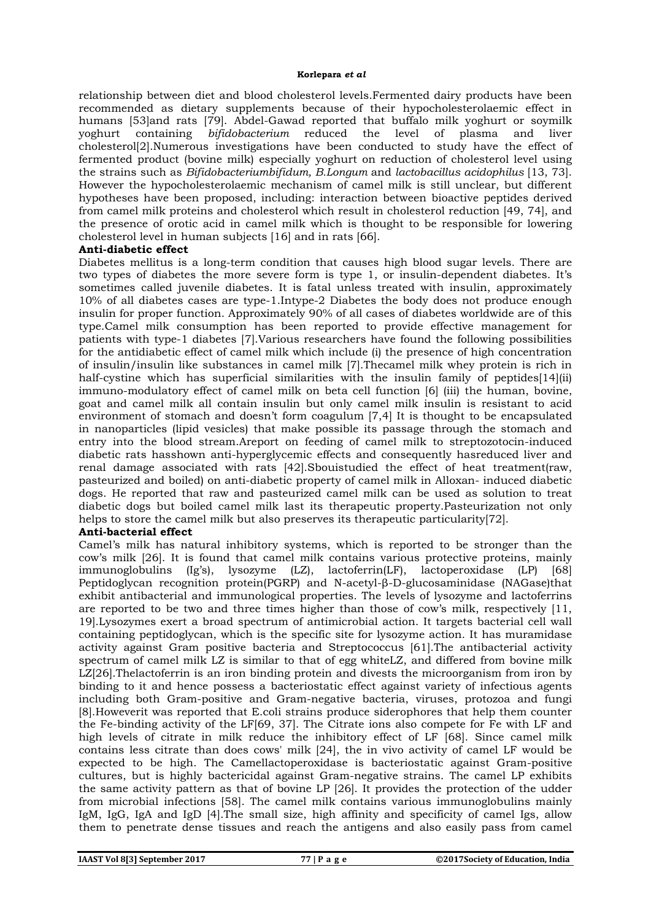relationship between diet and blood cholesterol levels.Fermented dairy products have been recommended as dietary supplements because of their hypocholesterolaemic effect in humans [53]and rats [79]. Abdel-Gawad reported that buffalo milk yoghurt or soymilk yoghurt containing *bifidobacterium* reduced the level of plasma and liver cholesterol[2].Numerous investigations have been conducted to study have the effect of fermented product (bovine milk) especially yoghurt on reduction of cholesterol level using the strains such as *Bifidobacteriumbifidum, B.Longum* and *lactobacillus acidophilus* [13, 73]. However the hypocholesterolaemic mechanism of camel milk is still unclear, but different hypotheses have been proposed, including: interaction between bioactive peptides derived from camel milk proteins and cholesterol which result in cholesterol reduction [49, 74], and the presence of orotic acid in camel milk which is thought to be responsible for lowering cholesterol level in human subjects [16] and in rats [66].

#### **Anti-diabetic effect**

Diabetes mellitus is a long-term condition that causes high blood sugar levels. There are two types of diabetes the more severe form is type 1, or insulin-dependent diabetes. It's sometimes called juvenile diabetes. It is fatal unless treated with insulin, approximately 10% of all diabetes cases are type-1.Intype-2 Diabetes the body does not produce enough insulin for proper function. Approximately 90% of all cases of diabetes worldwide are of this type.Camel milk consumption has been reported to provide effective management for patients with type-1 diabetes [7].Various researchers have found the following possibilities for the antidiabetic effect of camel milk which include (i) the presence of high concentration of insulin/insulin like substances in camel milk [7].Thecamel milk whey protein is rich in half-cystine which has superficial similarities with the insulin family of peptides[14](ii) immuno-modulatory effect of camel milk on beta cell function [6] (iii) the human, bovine, goat and camel milk all contain insulin but only camel milk insulin is resistant to acid environment of stomach and doesn't form coagulum [7,4] It is thought to be encapsulated in nanoparticles (lipid vesicles) that make possible its passage through the stomach and entry into the blood stream.Areport on feeding of camel milk to streptozotocin-induced diabetic rats hasshown anti-hyperglycemic effects and consequently hasreduced liver and renal damage associated with rats [42].Sbouistudied the effect of heat treatment(raw, pasteurized and boiled) on anti-diabetic property of camel milk in Alloxan- induced diabetic dogs. He reported that raw and pasteurized camel milk can be used as solution to treat diabetic dogs but boiled camel milk last its therapeutic property.Pasteurization not only helps to store the camel milk but also preserves its therapeutic particularity[72].

#### **Anti-bacterial effect**

Camel's milk has natural inhibitory systems, which is reported to be stronger than the cow's milk [26]. It is found that camel milk contains various protective proteins, mainly immunoglobulins (Ig's), lysozyme (LZ), lactoferrin(LF), lactoperoxidase (LP) [68] Peptidoglycan recognition protein(PGRP) and N-acetyl-β-D-glucosaminidase (NAGase)that exhibit antibacterial and immunological properties. The levels of lysozyme and lactoferrins are reported to be two and three times higher than those of cow's milk, respectively [11, 19].Lysozymes exert a broad spectrum of antimicrobial action. It targets bacterial cell wall containing peptidoglycan, which is the specific site for lysozyme action. It has muramidase activity against Gram positive bacteria and Streptococcus [61].The antibacterial activity spectrum of camel milk LZ is similar to that of egg whiteLZ, and differed from bovine milk LZ[26].Thelactoferrin is an iron binding protein and divests the microorganism from iron by binding to it and hence possess a bacteriostatic effect against variety of infectious agents including both Gram-positive and Gram-negative bacteria, viruses, protozoa and fungi [8].Howeverit was reported that E.coli strains produce siderophores that help them counter the Fe-binding activity of the LF[69, 37]. The Citrate ions also compete for Fe with LF and high levels of citrate in milk reduce the inhibitory effect of LF [68]. Since camel milk contains less citrate than does cows' milk [24], the in vivo activity of camel LF would be expected to be high. The Camellactoperoxidase is bacteriostatic against Gram-positive cultures, but is highly bactericidal against Gram-negative strains. The camel LP exhibits the same activity pattern as that of bovine LP [26]. It provides the protection of the udder from microbial infections [58]. The camel milk contains various immunoglobulins mainly IgM, IgG, IgA and IgD [4].The small size, high affinity and specificity of camel Igs, allow them to penetrate dense tissues and reach the antigens and also easily pass from camel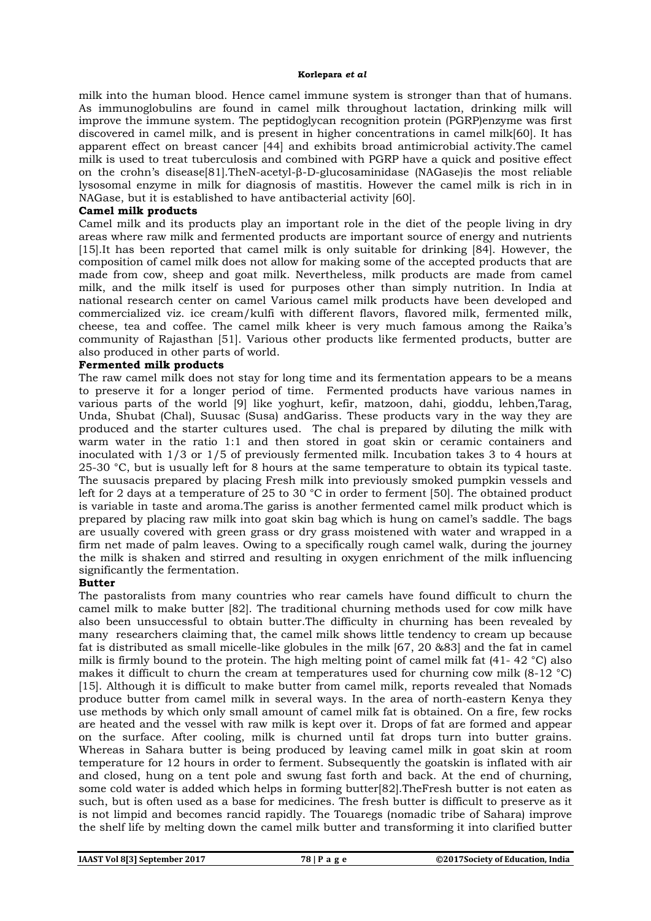milk into the human blood. Hence camel immune system is stronger than that of humans. As immunoglobulins are found in camel milk throughout lactation, drinking milk will improve the immune system. The peptidoglycan recognition protein (PGRP)enzyme was first discovered in camel milk, and is present in higher concentrations in camel milk[60]. It has apparent effect on breast cancer [44] and exhibits broad antimicrobial activity.The camel milk is used to treat tuberculosis and combined with PGRP have a quick and positive effect on the crohn's disease[81].TheN-acetyl-β-D-glucosaminidase (NAGase)is the most reliable lysosomal enzyme in milk for diagnosis of mastitis. However the camel milk is rich in in NAGase, but it is established to have antibacterial activity [60].

#### **Camel milk products**

Camel milk and its products play an important role in the diet of the people living in dry areas where raw milk and fermented products are important source of energy and nutrients [15].It has been reported that camel milk is only suitable for drinking [84]. However, the composition of camel milk does not allow for making some of the accepted products that are made from cow, sheep and goat milk. Nevertheless, milk products are made from camel milk, and the milk itself is used for purposes other than simply nutrition. In India at national research center on camel Various camel milk products have been developed and commercialized viz. ice cream/kulfi with different flavors, flavored milk, fermented milk, cheese, tea and coffee. The camel milk kheer is very much famous among the Raika's community of Rajasthan [51]. Various other products like fermented products, butter are also produced in other parts of world.

#### **Fermented milk products**

The raw camel milk does not stay for long time and its fermentation appears to be a means to preserve it for a longer period of time. Fermented products have various names in various parts of the world [9] like yoghurt, kefir, matzoon, dahi, gioddu, lehben,Tarag, Unda, Shubat (Chal), Suusac (Susa) andGariss. These products vary in the way they are produced and the starter cultures used. The chal is prepared by diluting the milk with warm water in the ratio 1:1 and then stored in goat skin or ceramic containers and inoculated with 1/3 or 1/5 of previously fermented milk. Incubation takes 3 to 4 hours at 25-30 °C, but is usually left for 8 hours at the same temperature to obtain its typical taste. The suusacis prepared by placing Fresh milk into previously smoked pumpkin vessels and left for 2 days at a temperature of 25 to 30 °C in order to ferment [50]. The obtained product is variable in taste and aroma.The gariss is another fermented camel milk product which is prepared by placing raw milk into goat skin bag which is hung on camel's saddle. The bags are usually covered with green grass or dry grass moistened with water and wrapped in a firm net made of palm leaves. Owing to a specifically rough camel walk, during the journey the milk is shaken and stirred and resulting in oxygen enrichment of the milk influencing significantly the fermentation.

#### **Butter**

The pastoralists from many countries who rear camels have found difficult to churn the camel milk to make butter [82]. The traditional churning methods used for cow milk have also been unsuccessful to obtain butter.The difficulty in churning has been revealed by many researchers claiming that, the camel milk shows little tendency to cream up because fat is distributed as small micelle-like globules in the milk [67, 20 &83] and the fat in camel milk is firmly bound to the protein. The high melting point of camel milk fat  $(41 - 42 \degree C)$  also makes it difficult to churn the cream at temperatures used for churning cow milk  $(8-12 \degree C)$ [15]. Although it is difficult to make butter from camel milk, reports revealed that Nomads produce butter from camel milk in several ways. In the area of north-eastern Kenya they use methods by which only small amount of camel milk fat is obtained. On a fire, few rocks are heated and the vessel with raw milk is kept over it. Drops of fat are formed and appear on the surface. After cooling, milk is churned until fat drops turn into butter grains. Whereas in Sahara butter is being produced by leaving camel milk in goat skin at room temperature for 12 hours in order to ferment. Subsequently the goatskin is inflated with air and closed, hung on a tent pole and swung fast forth and back. At the end of churning, some cold water is added which helps in forming butter[82].TheFresh butter is not eaten as such, but is often used as a base for medicines. The fresh butter is difficult to preserve as it is not limpid and becomes rancid rapidly. The Touaregs (nomadic tribe of Sahara) improve the shelf life by melting down the camel milk butter and transforming it into clarified butter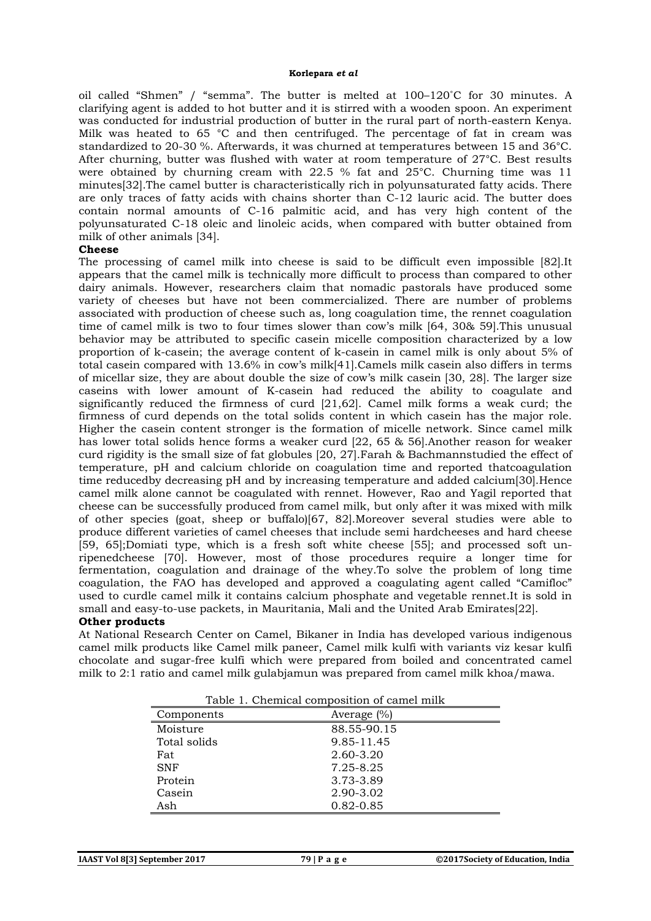oil called "Shmen" / "semma". The butter is melted at 100–120˚C for 30 minutes. A clarifying agent is added to hot butter and it is stirred with a wooden spoon. An experiment was conducted for industrial production of butter in the rural part of north-eastern Kenya. Milk was heated to 65 °C and then centrifuged. The percentage of fat in cream was standardized to 20-30 %. Afterwards, it was churned at temperatures between 15 and 36°C. After churning, butter was flushed with water at room temperature of 27°C. Best results were obtained by churning cream with 22.5 % fat and 25°C. Churning time was 11 minutes[32].The camel butter is characteristically rich in polyunsaturated fatty acids. There are only traces of fatty acids with chains shorter than C-12 lauric acid. The butter does contain normal amounts of C-16 palmitic acid, and has very high content of the polyunsaturated C-18 oleic and linoleic acids, when compared with butter obtained from milk of other animals [34].

#### **Cheese**

The processing of camel milk into cheese is said to be difficult even impossible [82].It appears that the camel milk is technically more difficult to process than compared to other dairy animals. However, researchers claim that nomadic pastorals have produced some variety of cheeses but have not been commercialized. There are number of problems associated with production of cheese such as, long coagulation time, the rennet coagulation time of camel milk is two to four times slower than cow's milk [64, 30& 59].This unusual behavior may be attributed to specific casein micelle composition characterized by a low proportion of k-casein; the average content of k-casein in camel milk is only about 5% of total casein compared with 13.6% in cow's milk[41].Camels milk casein also differs in terms of micellar size, they are about double the size of cow's milk casein [30, 28]. The larger size caseins with lower amount of K-casein had reduced the ability to coagulate and significantly reduced the firmness of curd [21,62]. Camel milk forms a weak curd; the firmness of curd depends on the total solids content in which casein has the major role. Higher the casein content stronger is the formation of micelle network. Since camel milk has lower total solids hence forms a weaker curd [22, 65 & 56].Another reason for weaker curd rigidity is the small size of fat globules [20, 27].Farah & Bachmannstudied the effect of temperature, pH and calcium chloride on coagulation time and reported thatcoagulation time reducedby decreasing pH and by increasing temperature and added calcium[30].Hence camel milk alone cannot be coagulated with rennet. However, Rao and Yagil reported that cheese can be successfully produced from camel milk, but only after it was mixed with milk of other species (goat, sheep or buffalo)[67, 82].Moreover several studies were able to produce different varieties of camel cheeses that include semi hardcheeses and hard cheese [59, 65];Domiati type, which is a fresh soft white cheese [55]; and processed soft unripenedcheese [70]. However, most of those procedures require a longer time for fermentation, coagulation and drainage of the whey.To solve the problem of long time coagulation, the FAO has developed and approved a coagulating agent called "Camifloc" used to curdle camel milk it contains calcium phosphate and vegetable rennet.It is sold in small and easy-to-use packets, in Mauritania, Mali and the United Arab Emirates[22].

# **Other products**

At National Research Center on Camel, Bikaner in India has developed various indigenous camel milk products like Camel milk paneer, Camel milk kulfi with variants viz kesar kulfi chocolate and sugar-free kulfi which were prepared from boiled and concentrated camel milk to 2:1 ratio and camel milk gulabjamun was prepared from camel milk khoa/mawa.

| Table 1. Chemical composition of camel milk |                |
|---------------------------------------------|----------------|
| Components                                  | Average $(\%)$ |
| Moisture                                    | 88.55-90.15    |
| Total solids                                | 9.85-11.45     |
| Fat                                         | 2.60-3.20      |
| <b>SNF</b>                                  | 7.25-8.25      |
| Protein                                     | 3.73-3.89      |
| Casein                                      | 2.90-3.02      |
| Ash                                         | 0.82-0.85      |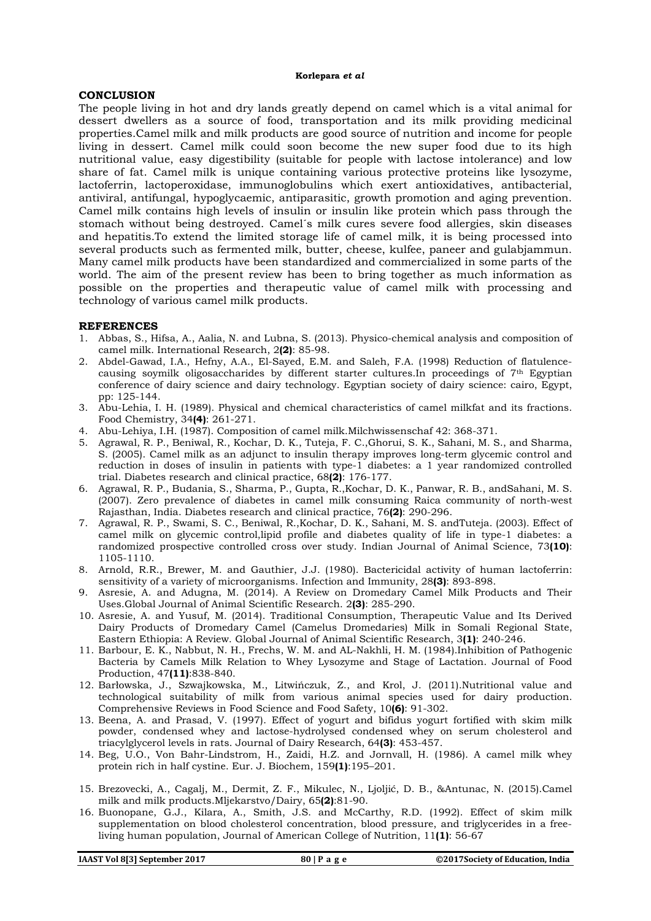#### **CONCLUSION**

The people living in hot and dry lands greatly depend on camel which is a vital animal for dessert dwellers as a source of food, transportation and its milk providing medicinal properties.Camel milk and milk products are good source of nutrition and income for people living in dessert. Camel milk could soon become the new super food due to its high nutritional value, easy digestibility (suitable for people with lactose intolerance) and low share of fat. Camel milk is unique containing various protective proteins like lysozyme, lactoferrin, lactoperoxidase, immunoglobulins which exert antioxidatives, antibacterial, antiviral, antifungal, hypoglycaemic, antiparasitic, growth promotion and aging prevention. Camel milk contains high levels of insulin or insulin like protein which pass through the stomach without being destroyed. Camel´s milk cures severe food allergies, skin diseases and hepatitis.To extend the limited storage life of camel milk, it is being processed into several products such as fermented milk, butter, cheese, kulfee, paneer and gulabjammun. Many camel milk products have been standardized and commercialized in some parts of the world. The aim of the present review has been to bring together as much information as possible on the properties and therapeutic value of camel milk with processing and technology of various camel milk products.

#### **REFERENCES**

- 1. Abbas, S., Hifsa, A., Aalia, N. and Lubna, S. (2013). Physico-chemical analysis and composition of camel milk. International Research, 2**(2)**: 85-98.
- 2. Abdel-Gawad, I.A., Hefny, A.A., El-Sayed, E.M. and Saleh, F.A. (1998) Reduction of flatulencecausing soymilk oligosaccharides by different starter cultures.In proceedings of 7th Egyptian conference of dairy science and dairy technology. Egyptian society of dairy science: cairo, Egypt, pp: 125-144.
- 3. Abu-Lehia, I. H. (1989). Physical and chemical characteristics of camel milkfat and its fractions. Food Chemistry, 34**(4)**: 261-271.
- 4. Abu-Lehiya, I.H. (1987). Composition of camel milk.Milchwissenschaf 42: 368-371.
- 5. Agrawal, R. P., Beniwal, R., Kochar, D. K., Tuteja, F. C.,Ghorui, S. K., Sahani, M. S., and Sharma, S. (2005). Camel milk as an adjunct to insulin therapy improves long-term glycemic control and reduction in doses of insulin in patients with type-1 diabetes: a 1 year randomized controlled trial. Diabetes research and clinical practice, 68**(2)**: 176-177.
- 6. Agrawal, R. P., Budania, S., Sharma, P., Gupta, R.,Kochar, D. K., Panwar, R. B., andSahani, M. S. (2007). Zero prevalence of diabetes in camel milk consuming Raica community of north-west Rajasthan, India. Diabetes research and clinical practice, 76**(2)**: 290-296.
- 7. Agrawal, R. P., Swami, S. C., Beniwal, R.,Kochar, D. K., Sahani, M. S. andTuteja. (2003). Effect of camel milk on glycemic control,lipid profile and diabetes quality of life in type-1 diabetes: a randomized prospective controlled cross over study. Indian Journal of Animal Science, 73**(10)**: 1105-1110.
- 8. Arnold, R.R., Brewer, M. and Gauthier, J.J. (1980). Bactericidal activity of human lactoferrin: sensitivity of a variety of microorganisms. Infection and Immunity, 28**(3)**: 893-898.
- 9. Asresie, A. and Adugna, M. (2014). A Review on Dromedary Camel Milk Products and Their Uses.Global Journal of Animal Scientific Research. 2**(3)**: 285-290.
- 10. Asresie, A. and Yusuf, M. (2014). Traditional Consumption, Therapeutic Value and Its Derived Dairy Products of Dromedary Camel (Camelus Dromedaries) Milk in Somali Regional State, Eastern Ethiopia: A Review. Global Journal of Animal Scientific Research, 3**(1)**: 240-246.
- 11. Barbour, E. K., Nabbut, N. H., Frechs, W. M. and AL-Nakhli, H. M. (1984).Inhibition of Pathogenic Bacteria by Camels Milk Relation to Whey Lysozyme and Stage of Lactation. Journal of Food Production, 47**(11)**:838-840.
- 12. Barłowska, J., Szwajkowska, M., Litwińczuk, Z., and Krol, J. (2011).Nutritional value and technological suitability of milk from various animal species used for dairy production. Comprehensive Reviews in Food Science and Food Safety, 10**(6)**: 91-302.
- 13. Beena, A. and Prasad, V. (1997). Effect of yogurt and bifidus yogurt fortified with skim milk powder, condensed whey and lactose-hydrolysed condensed whey on serum cholesterol and triacylglycerol levels in rats. Journal of Dairy Research, 64**(3)**: 453-457.
- 14. Beg, U.O., Von Bahr-Lindstrom, H., Zaidi, H.Z. and Jornvall, H. (1986). A camel milk whey protein rich in half cystine. Eur. J. Biochem, 159**(1)**:195–201.
- 15. Brezovecki, A., Cagalj, M., Dermit, Z. F., Mikulec, N., Ljoljić, D. B., &Antunac, N. (2015).Camel milk and milk products.Mljekarstvo/Dairy, 65**(2)**:81-90.
- 16. Buonopane, G.J., Kilara, A., Smith, J.S. and McCarthy, R.D. (1992). Effect of skim milk supplementation on blood cholesterol concentration, blood pressure, and triglycerides in a freeliving human population, Journal of American College of Nutrition, 11**(1)**: 56-67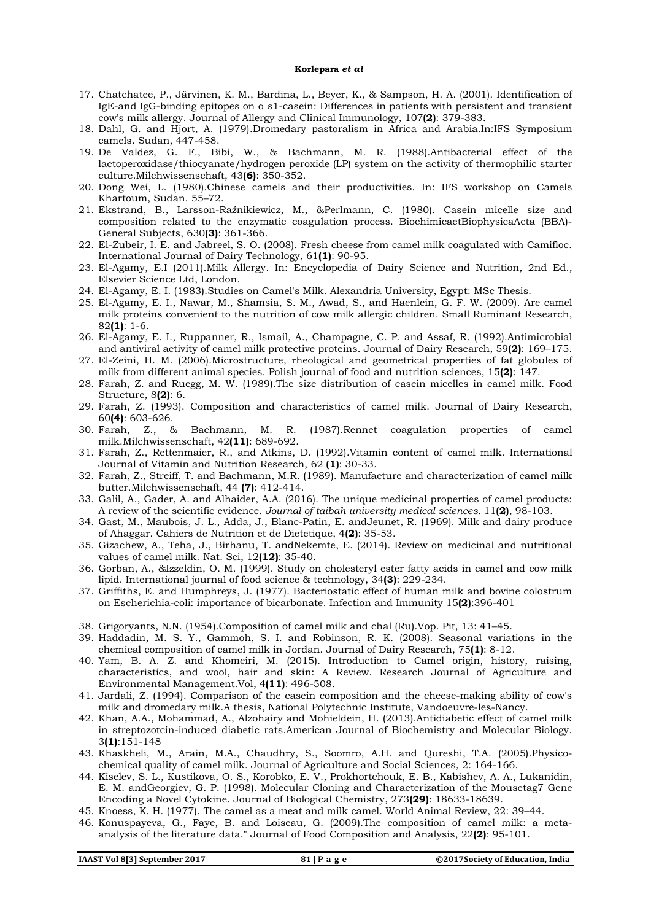- 17. Chatchatee, P., Järvinen, K. M., Bardina, L., Beyer, K., & Sampson, H. A. (2001). Identification of IgE-and IgG-binding epitopes on α s1-casein: Differences in patients with persistent and transient cow's milk allergy. Journal of Allergy and Clinical Immunology, 107**(2)**: 379-383.
- 18. Dahl, G. and Hjort, A. (1979).Dromedary pastoralism in Africa and Arabia.In:IFS Symposium camels. Sudan, 447-458.
- 19. De Valdez, G. F., Bibi, W., & Bachmann, M. R. (1988).Antibacterial effect of the lactoperoxidase/thiocyanate/hydrogen peroxide (LP) system on the activity of thermophilic starter culture.Milchwissenschaft, 43**(6)**: 350-352.
- 20. Dong Wei, L. (1980).Chinese camels and their productivities. In: IFS workshop on Camels Khartoum, Sudan. 55–72.
- 21. Ekstrand, B., Larsson-Raźnikiewicz, M., &Perlmann, C. (1980). Casein micelle size and composition related to the enzymatic coagulation process. BiochimicaetBiophysicaActa (BBA)- General Subjects, 630**(3)**: 361-366.
- 22. El-Zubeir, I. E. and Jabreel, S. O. (2008). Fresh cheese from camel milk coagulated with Camifloc. International Journal of Dairy Technology, 61**(1)**: 90-95.
- 23. El-Agamy, E.I (2011).Milk Allergy. In: Encyclopedia of Dairy Science and Nutrition, 2nd Ed., Elsevier Science Ltd, London.
- 24. El-Agamy, E. I. (1983).Studies on Camel's Milk. Alexandria University, Egypt: MSc Thesis.
- 25. El-Agamy, E. I., Nawar, M., Shamsia, S. M., Awad, S., and Haenlein, G. F. W. (2009). Are camel milk proteins convenient to the nutrition of cow milk allergic children. Small Ruminant Research, 82**(1)**: 1-6.
- 26. El-Agamy, E. I., Ruppanner, R., Ismail, A., Champagne, C. P. and Assaf, R. (1992).Antimicrobial and antiviral activity of camel milk protective proteins. Journal of Dairy Research, 59**(2)**: 169–175.
- 27. El-Zeini, H. M. (2006).Microstructure, rheological and geometrical properties of fat globules of milk from different animal species. Polish journal of food and nutrition sciences, 15**(2)**: 147.
- 28. Farah, Z. and Ruegg, M. W. (1989).The size distribution of casein micelles in camel milk. Food Structure, 8**(2)**: 6.
- 29. Farah, Z. (1993). Composition and characteristics of camel milk. Journal of Dairy Research, 60**(4)**: 603-626.
- 30. Farah, Z., & Bachmann, M. R. (1987).Rennet coagulation properties of camel milk.Milchwissenschaft, 42**(11)**: 689-692.
- 31. Farah, Z., Rettenmaier, R., and Atkins, D. (1992).Vitamin content of camel milk. International Journal of Vitamin and Nutrition Research, 62 **(1)**: 30-33.
- 32. Farah, Z., Streiff, T. and Bachmann, M.R. (1989). Manufacture and characterization of camel milk butter.Milchwissenschaft, 44 **(7)**: 412-414.
- 33. Galil, A., Gader, A. and Alhaider, A.A. (2016). The unique medicinal properties of camel products: A review of the scientific evidence. *Journal of taibah university medical sciences.* 11**(2)**, 98-103.
- 34. Gast, M., Maubois, J. L., Adda, J., Blanc-Patin, E. andJeunet, R. (1969). Milk and dairy produce of Ahaggar. Cahiers de Nutrition et de Dietetique, 4**(2)**: 35-53.
- 35. Gizachew, A., Teha, J., Birhanu, T. andNekemte, E. (2014). Review on medicinal and nutritional values of camel milk. Nat. Sci, 12**(12)**: 35-40.
- 36. Gorban, A., &Izzeldin, O. M. (1999). Study on cholesteryl ester fatty acids in camel and cow milk lipid. International journal of food science & technology, 34**(3)**: 229-234.
- 37. Griffiths, E. and Humphreys, J. (1977). Bacteriostatic effect of human milk and bovine colostrum on Escherichia-coli: importance of bicarbonate. Infection and Immunity 15**(2)**:396-401
- 38. Grigoryants, N.N. (1954).Composition of camel milk and chal (Ru).Vop. Pit, 13: 41–45.
- 39. Haddadin, M. S. Y., Gammoh, S. I. and Robinson, R. K. (2008). Seasonal variations in the chemical composition of camel milk in Jordan. Journal of Dairy Research, 75**(1)**: 8-12.
- 40. Yam, B. A. Z. and Khomeiri, M. (2015). Introduction to Camel origin, history, raising, characteristics, and wool, hair and skin: A Review. Research Journal of Agriculture and Environmental Management.Vol, 4**(11)**: 496-508.
- 41. Jardali, Z. (1994). Comparison of the casein composition and the cheese-making ability of cow's milk and dromedary milk.A thesis, National Polytechnic Institute, Vandoeuvre-les-Nancy.
- 42. Khan, A.A., Mohammad, A., Alzohairy and Mohieldein, H. (2013).Antidiabetic effect of camel milk in streptozotcin-induced diabetic rats.American Journal of Biochemistry and Molecular Biology. 3**(1)**:151-148
- 43. Khaskheli, M., Arain, M.A., Chaudhry, S., Soomro, A.H. and Qureshi, T.A. (2005).Physicochemical quality of camel milk. Journal of Agriculture and Social Sciences, 2: 164-166.
- 44. Kiselev, S. L., Kustikova, O. S., Korobko, E. V., Prokhortchouk, E. B., Kabishev, A. A., Lukanidin, E. M. andGeorgiev, G. P. (1998). Molecular Cloning and Characterization of the Mousetag7 Gene Encoding a Novel Cytokine. Journal of Biological Chemistry, 273**(29)**: 18633-18639.
- 45. Knoess, K. H. (1977). The camel as a meat and milk camel. World Animal Review, 22: 39–44.
- 46. Konuspayeva, G., Faye, B. and Loiseau, G. (2009).The composition of camel milk: a metaanalysis of the literature data." Journal of Food Composition and Analysis, 22**(2)**: 95-101.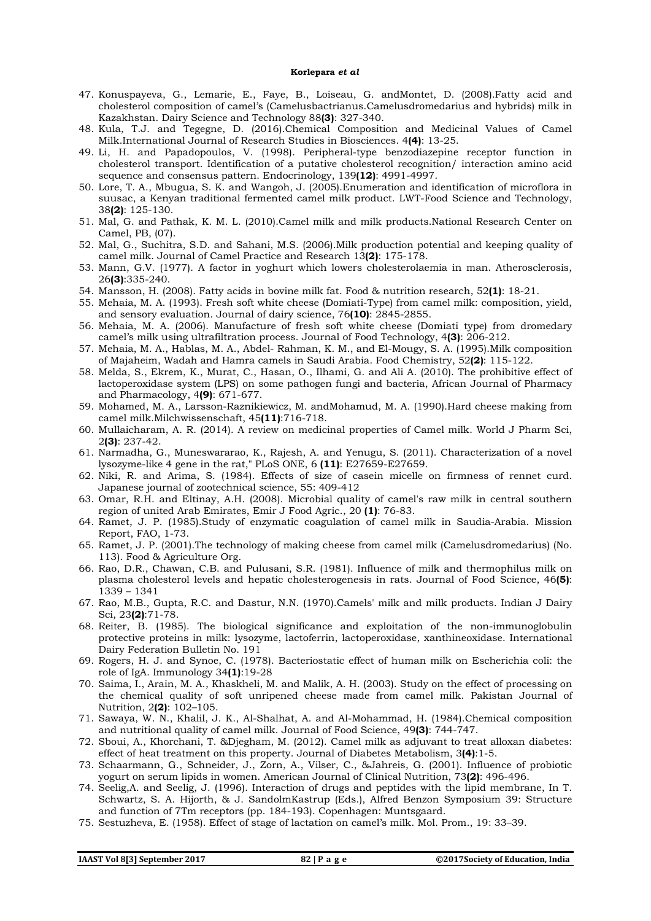- 47. Konuspayeva, G., Lemarie, E., Faye, B., Loiseau, G. andMontet, D. (2008).Fatty acid and cholesterol composition of camel's (Camelusbactrianus.Camelusdromedarius and hybrids) milk in Kazakhstan. Dairy Science and Technology 88**(3)**: 327-340.
- 48. Kula, T.J. and Tegegne, D. (2016).Chemical Composition and Medicinal Values of Camel Milk.International Journal of Research Studies in Biosciences. 4**(4)**: 13-25.
- 49. Li, H. and Papadopoulos, V. (1998). Peripheral-type benzodiazepine receptor function in cholesterol transport. Identification of a putative cholesterol recognition/ interaction amino acid sequence and consensus pattern. Endocrinology, 139**(12)**: 4991-4997.
- 50. Lore, T. A., Mbugua, S. K. and Wangoh, J. (2005).Enumeration and identification of microflora in suusac, a Kenyan traditional fermented camel milk product. LWT-Food Science and Technology, 38**(2)**: 125-130.
- 51. Mal, G. and Pathak, K. M. L. (2010).Camel milk and milk products.National Research Center on Camel, PB, (07).
- 52. Mal, G., Suchitra, S.D. and Sahani, M.S. (2006).Milk production potential and keeping quality of camel milk. Journal of Camel Practice and Research 13**(2)**: 175-178.
- 53. Mann, G.V. (1977). A factor in yoghurt which lowers cholesterolaemia in man. Atherosclerosis, 26**(3)**:335-240.
- 54. Mansson, H. (2008). Fatty acids in bovine milk fat. Food & nutrition research, 52**(1)**: 18-21.
- 55. Mehaia, M. A. (1993). Fresh soft white cheese (Domiati-Type) from camel milk: composition, yield, and sensory evaluation. Journal of dairy science, 76**(10)**: 2845-2855.
- 56. Mehaia, M. A. (2006). Manufacture of fresh soft white cheese (Domiati type) from dromedary camel's milk using ultrafiltration process. Journal of Food Technology, 4**(3)**: 206-212.
- 57. Mehaia, M. A., Hablas, M. A., Abdel- Rahman, K. M., and El-Mougy, S. A. (1995).Milk composition of Majaheim, Wadah and Hamra camels in Saudi Arabia. Food Chemistry, 52**(2)**: 115-122.
- 58. Melda, S., Ekrem, K., Murat, C., Hasan, O., Ilhami, G. and Ali A. (2010). The prohibitive effect of lactoperoxidase system (LPS) on some pathogen fungi and bacteria, African Journal of Pharmacy and Pharmacology, 4**(9)**: 671-677.
- 59. Mohamed, M. A., Larsson-Raznikiewicz, M. andMohamud, M. A. (1990).Hard cheese making from camel milk.Milchwissenschaft, 45**(11)**:716-718.
- 60. Mullaicharam, A. R. (2014). A review on medicinal properties of Camel milk. World J Pharm Sci, 2**(3)**: 237-42.
- 61. Narmadha, G., Muneswararao, K., Rajesh, A. and Yenugu, S. (2011). Characterization of a novel lysozyme-like 4 gene in the rat," PLoS ONE, 6 **(11)**: E27659-E27659.
- 62. Niki, R. and Arima, S. (1984). Effects of size of casein micelle on firmness of rennet curd. Japanese journal of zootechnical science, 55: 409-412
- 63. Omar, R.H. and Eltinay, A.H. (2008). Microbial quality of camel's raw milk in central southern region of united Arab Emirates, Emir J Food Agric., 20 **(1)**: 76-83.
- 64. Ramet, J. P. (1985).Study of enzymatic coagulation of camel milk in Saudia-Arabia. Mission Report, FAO, 1-73.
- 65. Ramet, J. P. (2001).The technology of making cheese from camel milk (Camelusdromedarius) (No. 113). Food & Agriculture Org.
- 66. Rao, D.R., Chawan, C.B. and Pulusani, S.R. (1981). Influence of milk and thermophilus milk on plasma cholesterol levels and hepatic cholesterogenesis in rats. Journal of Food Science, 46**(5)**: 1339 – 1341
- 67. Rao, M.B., Gupta, R.C. and Dastur, N.N. (1970).Camels' milk and milk products. Indian J Dairy Sci, 23**(2)**:71-78.
- 68. Reiter, B. (1985). The biological significance and exploitation of the non-immunoglobulin protective proteins in milk: lysozyme, lactoferrin, lactoperoxidase, xanthineoxidase. International Dairy Federation Bulletin No. 191
- 69. Rogers, H. J. and Synoe, C. (1978). Bacteriostatic effect of human milk on Escherichia coli: the role of IgA. Immunology 34**(1)**:19-28
- 70. Saima, I., Arain, M. A., Khaskheli, M. and Malik, A. H. (2003). Study on the effect of processing on the chemical quality of soft unripened cheese made from camel milk. Pakistan Journal of Nutrition, 2**(2)**: 102–105.
- 71. Sawaya, W. N., Khalil, J. K., Al-Shalhat, A. and Al-Mohammad, H. (1984).Chemical composition and nutritional quality of camel milk. Journal of Food Science, 49**(3)**: 744-747.
- 72. Sboui, A., Khorchani, T. &Djegham, M. (2012). Camel milk as adjuvant to treat alloxan diabetes: effect of heat treatment on this property. Journal of Diabetes Metabolism, 3**(4)**:1-5.
- 73. Schaarmann, G., Schneider, J., Zorn, A., Vilser, C., &Jahreis, G. (2001). Influence of probiotic yogurt on serum lipids in women. American Journal of Clinical Nutrition, 73**(2)**: 496-496.
- 74. Seelig,A. and Seelig, J. (1996). Interaction of drugs and peptides with the lipid membrane, In T. Schwartz, S. A. Hijorth, & J. SandolmKastrup (Eds.), Alfred Benzon Symposium 39: Structure and function of 7Tm receptors (pp. 184-193). Copenhagen: Muntsgaard.
- 75. Sestuzheva, E. (1958). Effect of stage of lactation on camel's milk. Mol. Prom., 19: 33–39.